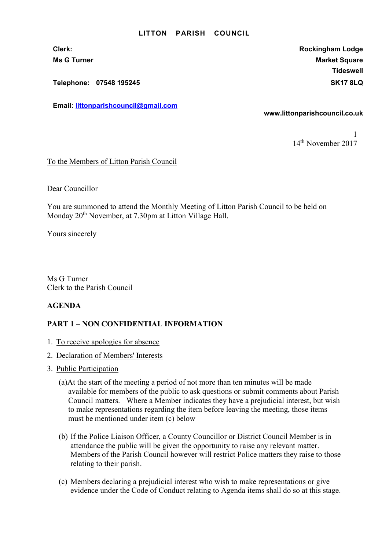#### LITTON PARISH COUNCIL

Telephone: 07548 195245 SK17 8LQ

Email: littonparishcouncil@gmail.com

Clerk: Rockingham Lodge Ms G Turner Market Square Market Square Market Square Market Square **Tideswell** 

www.littonparishcouncil.co.uk

1 14th November 2017

To the Members of Litton Parish Council

Dear Councillor

You are summoned to attend the Monthly Meeting of Litton Parish Council to be held on Monday 20<sup>th</sup> November, at 7.30pm at Litton Village Hall.

Yours sincerely

Ms G Turner Clerk to the Parish Council

### AGENDA

# PART 1 – NON CONFIDENTIAL INFORMATION

- 1. To receive apologies for absence
- 2. Declaration of Members' Interests
- 3. Public Participation
	- (a)At the start of the meeting a period of not more than ten minutes will be made available for members of the public to ask questions or submit comments about Parish Council matters. Where a Member indicates they have a prejudicial interest, but wish to make representations regarding the item before leaving the meeting, those items must be mentioned under item (c) below
	- (b) If the Police Liaison Officer, a County Councillor or District Council Member is in attendance the public will be given the opportunity to raise any relevant matter. Members of the Parish Council however will restrict Police matters they raise to those relating to their parish.
	- (c) Members declaring a prejudicial interest who wish to make representations or give evidence under the Code of Conduct relating to Agenda items shall do so at this stage.